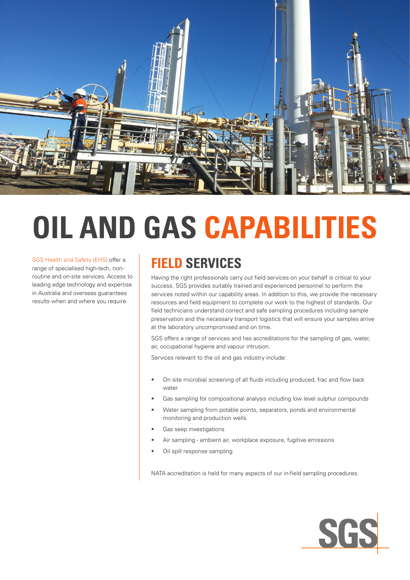

# **OIL AND GAS CAPABILITIES**

SGS Health and Safety (EHS) offer a range of specialised high-tech, nonroutine and on-site services. Access to leading edge technology and expertise in Australia and overseas guarantees results when and where you require.

## **FIELD SERVICES**

Having the right professionals carry out field services on your behalf is critical to your success. SGS provides suitably trained and experienced personnel to perform the services noted within our capability areas. In addition to this, we provide the necessary resources and field equipment to complete our work to the highest of standards. Our field technicians understand correct and safe sampling procedures including sample preservation and the necessary transport logistics that will ensure your samples arrive at the laboratory uncompromised and on time.

SGS offers a range of services and has accreditations for the sampling of gas, water, air, occupational hygiene and vapour intrusion.

Services relevant to the oil and gas industry include:

- On site microbial screening of all fluids including produced, frac and flow back water
- Gas sampling for compositional analysis including low level sulphur compounds
- Water sampling from potable points, separators, ponds and environmental monitoring and production wells
- Gas seep investigations
- Air sampling ambient air, workplace exposure, fugitive emissions
- Oil spill response sampling

NATA accreditation is held for many aspects of our in-field sampling procedures.